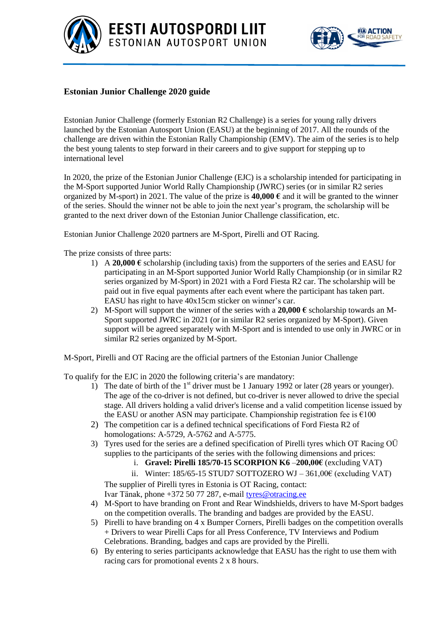



## **Estonian Junior Challenge 2020 guide**

Estonian Junior Challenge (formerly Estonian R2 Challenge) is a series for young rally drivers launched by the Estonian Autosport Union (EASU) at the beginning of 2017. All the rounds of the challenge are driven within the Estonian Rally Championship (EMV). The aim of the series is to help the best young talents to step forward in their careers and to give support for stepping up to international level

In 2020, the prize of the Estonian Junior Challenge (EJC) is a scholarship intended for participating in the M-Sport supported Junior World Rally Championship (JWRC) series (or in similar R2 series organized by M-sport) in 2021. The value of the prize is **40,000 €** and it will be granted to the winner of the series. Should the winner not be able to join the next year's program, the scholarship will be granted to the next driver down of the Estonian Junior Challenge classification, etc.

Estonian Junior Challenge 2020 partners are M-Sport, Pirelli and OT Racing.

The prize consists of three parts:

- 1) A **20,000**  $\epsilon$  scholarship (including taxis) from the supporters of the series and EASU for participating in an M-Sport supported Junior World Rally Championship (or in similar R2 series organized by M-Sport) in 2021 with a Ford Fiesta R2 car. The scholarship will be paid out in five equal payments after each event where the participant has taken part. EASU has right to have 40x15cm sticker on winner's car.
- 2) M-Sport will support the winner of the series with a **20,000 €** scholarship towards an M-Sport supported JWRC in 2021 (or in similar R2 series organized by M-Sport). Given support will be agreed separately with M-Sport and is intended to use only in JWRC or in similar R2 series organized by M-Sport.

M-Sport, Pirelli and OT Racing are the official partners of the Estonian Junior Challenge

To qualify for the EJC in 2020 the following criteria's are mandatory:

- 1) The date of birth of the  $1<sup>st</sup>$  driver must be 1 January 1992 or later (28 years or younger). The age of the co-driver is not defined, but co-driver is never allowed to drive the special stage. All drivers holding a valid driver's license and a valid competition license issued by the EASU or another ASN may participate. Championship registration fee is  $\epsilon$ 100
- 2) The competition car is a defined technical specifications of Ford Fiesta R2 of homologations: A-5729, A-5762 and A-5775.
- 3) Tyres used for the series are a defined specification of Pirelli tyres which OT Racing OÜ supplies to the participants of the series with the following dimensions and prices:
	- i. **Gravel: Pirelli 185/70-15 SCORPION K6** –**200,00€** (excluding VAT)
	- ii. Winter:  $185/65-15$  STUD7 SOTTOZERO WJ  $361,00 \in (excluding \, VAT)$

The supplier of Pirelli tyres in Estonia is OT Racing, contact: Ivar Tänak, phone +372 50 77 287, e-mail [tyres@otracing.ee](mailto:tyres@otracing.ee)

- 4) M-Sport to have branding on Front and Rear Windshields, drivers to have M-Sport badges on the competition overalls. The branding and badges are provided by the EASU.
- 5) Pirelli to have branding on 4 x Bumper Corners, Pirelli badges on the competition overalls + Drivers to wear Pirelli Caps for all Press Conference, TV Interviews and Podium Celebrations. Branding, badges and caps are provided by the Pirelli.
- 6) By entering to series participants acknowledge that EASU has the right to use them with racing cars for promotional events 2 x 8 hours.